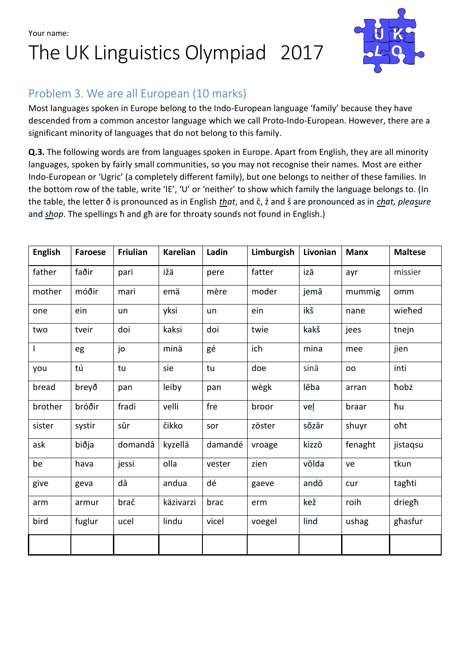The UK Linguistics Olympiad 2017



### Problem 3. We are all European (10 marks)

Most languages spoken in Europe belong to the Indo-European language 'family' because they have descended from a common ancestor language which we call Proto-Indo-European. However, there are a significant minority of languages that do not belong to this family.

**Q.3.** The following words are from languages spoken in Europe. Apart from English, they are all minority languages, spoken by fairly small communities, so you may not recognise their names. Most are either Indo-European or 'Ugric' (a completely different family), but one belongs to neither of these families. In the bottom row of the table, write 'IE', 'U' or 'neither' to show which family the language belongs to. (In the table, the letter ð is pronounced as in English *that*, and č, ž and š are pronounced as in *chat, pleasure* and *shop*. The spellings ħ and għ are for throaty sounds not found in English.)

| <b>English</b> | <b>Faroese</b> | <b>Friulian</b> | <b>Karelian</b> | Ladin   | Limburgish | Livonian | <b>Manx</b> | <b>Maltese</b> |
|----------------|----------------|-----------------|-----------------|---------|------------|----------|-------------|----------------|
| father         | faðir          | pari            | ižä             | pere    | fatter     | izā      | ayr         | missier        |
| mother         | móðir          | mari            | emä             | mère    | moder      | jemā     | mummig      | omm            |
| one            | ein            | un              | yksi            | un      | ein        | ikš      | nane        | wiehed         |
| two            | tveir          | doi             | kaksi           | doi     | twie       | kakš     | jees        | tnejn          |
| $\overline{1}$ | eg             | jo              | minä            | gé      | ich        | mina     | mee         | jien           |
| you            | tú             | tu              | sie             | tu      | doe        | sinā     | oo          | inti           |
| bread          | breyð          | pan             | leiby           | pan     | wègk       | lēba     | arran       | hobż           |
| brother        | bróðir         | fradi           | velli           | fre     | broor      | veļ      | braar       | ħu             |
| sister         | systir         | sûr             | čikko           | sor     | zöster     | sõzār    | shuyr       | oht            |
| ask            | biðja          | domandâ         | kyzellä         | damandé | vroage     | kizzō    | fenaght     | jistaqsu       |
| be             | hava           | jessi           | olla            | vester  | zien       | võlda    | ve          | tkun           |
| give           | geva           | dâ              | andua           | dé      | gaeve      | andō     | cur         | taghti         |
| arm            | armur          | brač            | käzivarzi       | brac    | erm        | kež      | roih        | driegh         |
| bird           | fuglur         | ucel            | lindu           | vicel   | voegel     | lind     | ushag       | ghasfur        |
|                |                |                 |                 |         |            |          |             |                |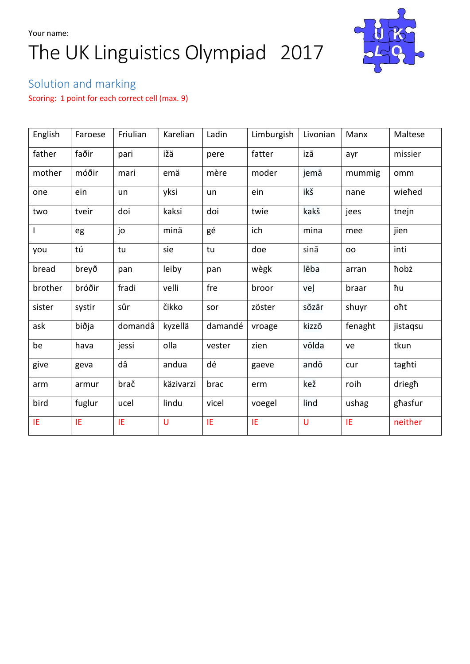# Your name: The UK Linguistics Olympiad 2017



## Solution and marking

Scoring: 1 point for each correct cell (max. 9)

| English | Faroese | Friulian | Karelian  | Ladin   | Limburgish | Livonian | Manx      | Maltese  |
|---------|---------|----------|-----------|---------|------------|----------|-----------|----------|
| father  | faðir   | pari     | ižä       | pere    | fatter     | izā      | ayr       | missier  |
| mother  | móðir   | mari     | emä       | mère    | moder      | jemā     | mummig    | omm      |
| one     | ein     | un       | yksi      | un      | ein        | ikš      | nane      | wiehed   |
| two     | tveir   | doi      | kaksi     | doi     | twie       | kakš     | jees      | tnejn    |
|         | eg      | jo       | minä      | gé      | ich        | mina     | mee       | jien     |
| you     | tú      | tu       | sie       | tu      | doe        | sinā     | <b>OO</b> | inti     |
| bread   | breyð   | pan      | leiby     | pan     | wègk       | lēba     | arran     | hobż     |
| brother | bróðir  | fradi    | velli     | fre     | broor      | veļ      | braar     | ħu       |
| sister  | systir  | sûr      | čikko     | sor     | zöster     | sõzār    | shuyr     | oht      |
| ask     | biðja   | domandâ  | kyzellä   | damandé | vroage     | kizzō    | fenaght   | jistagsu |
| be      | hava    | jessi    | olla      | vester  | zien       | vōlda    | ve        | tkun     |
| give    | geva    | dâ       | andua     | dé      | gaeve      | andō     | cur       | taghti   |
| arm     | armur   | brač     | käzivarzi | brac    | erm        | kež      | roih      | driegh   |
| bird    | fuglur  | ucel     | lindu     | vicel   | voegel     | lind     | ushag     | ghasfur  |
| IE      | IE      | IE       | U         | IE      | IE         | U        | IE        | neither  |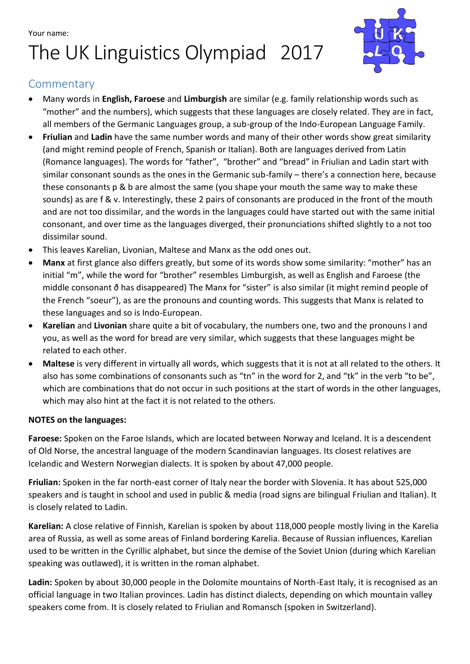# Your name: The UK Linguistics Olympiad 2017



#### **Commentary**

- Many words in **English, Faroese** and **Limburgish** are similar (e.g. family relationship words such as "mother" and the numbers), which suggests that these languages are closely related. They are in fact, all members of the Germanic Languages group, a sub-group of the Indo-European Language Family.
- **Friulian** and **Ladin** have the same number words and many of their other words show great similarity (and might remind people of French, Spanish or Italian). Both are languages derived from Latin (Romance languages). The words for "father", "brother" and "bread" in Friulian and Ladin start with similar consonant sounds as the ones in the Germanic sub-family – there's a connection here, because these consonants p & b are almost the same (you shape your mouth the same way to make these sounds) as are f & v. Interestingly, these 2 pairs of consonants are produced in the front of the mouth and are not too dissimilar, and the words in the languages could have started out with the same initial consonant, and over time as the languages diverged, their pronunciations shifted slightly to a not too dissimilar sound.
- This leaves Karelian, Livonian, Maltese and Manx as the odd ones out.
- **Manx** at first glance also differs greatly, but some of its words show some similarity: "mother" has an initial "m", while the word for "brother" resembles Limburgish, as well as English and Faroese (the middle consonant ð has disappeared) The Manx for "sister" is also similar (it might remind people of the French "soeur"), as are the pronouns and counting words. This suggests that Manx is related to these languages and so is Indo-European.
- **Karelian** and **Livonian** share quite a bit of vocabulary, the numbers one, two and the pronouns I and you, as well as the word for bread are very similar, which suggests that these languages might be related to each other.
- **Maltese** is very different in virtually all words, which suggests that it is not at all related to the others. It also has some combinations of consonants such as "tn" in the word for 2, and "tk" in the verb "to be", which are combinations that do not occur in such positions at the start of words in the other languages, which may also hint at the fact it is not related to the others.

#### **NOTES on the languages:**

**Faroese:** Spoken on the Faroe Islands, which are located between Norway and Iceland. It is a descendent of Old Norse, the ancestral language of the modern Scandinavian languages. Its closest relatives are Icelandic and Western Norwegian dialects. It is spoken by about 47,000 people.

**Friulian:** Spoken in the far north-east corner of Italy near the border with Slovenia. It has about 525,000 speakers and is taught in school and used in public & media (road signs are bilingual Friulian and Italian). It is closely related to Ladin.

**Karelian:** A close relative of Finnish, Karelian is spoken by about 118,000 people mostly living in the Karelia area of Russia, as well as some areas of Finland bordering Karelia. Because of Russian influences, Karelian used to be written in the Cyrillic alphabet, but since the demise of the Soviet Union (during which Karelian speaking was outlawed), it is written in the roman alphabet.

**Ladin:** Spoken by about 30,000 people in the Dolomite mountains of North-East Italy, it is recognised as an official language in two Italian provinces. Ladin has distinct dialects, depending on which mountain valley speakers come from. It is closely related to Friulian and Romansch (spoken in Switzerland).